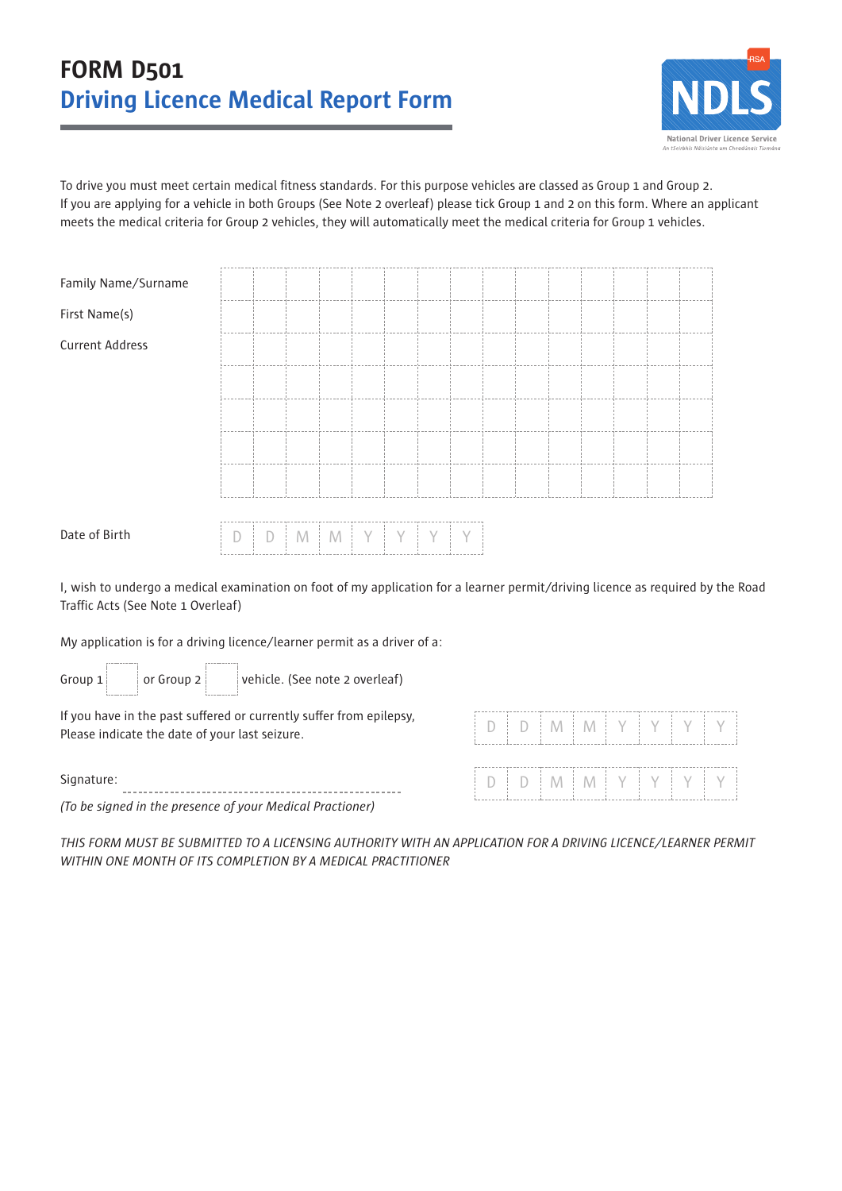# **FORM D501 Driving Licence Medical Report Form**



To drive you must meet certain medical fitness standards. For this purpose vehicles are classed as Group 1 and Group 2. If you are applying for a vehicle in both Groups (See Note 2 overleaf) please tick Group 1 and 2 on this form. Where an applicant meets the medical criteria for Group 2 vehicles, they will automatically meet the medical criteria for Group 1 vehicles.

| Family Name/Surname    |  |  |  |  |  |  |  |  |
|------------------------|--|--|--|--|--|--|--|--|
| First Name(s)          |  |  |  |  |  |  |  |  |
| <b>Current Address</b> |  |  |  |  |  |  |  |  |
|                        |  |  |  |  |  |  |  |  |
|                        |  |  |  |  |  |  |  |  |
|                        |  |  |  |  |  |  |  |  |
|                        |  |  |  |  |  |  |  |  |
|                        |  |  |  |  |  |  |  |  |

|  |  |  |  |  |  |  |  | $[ D   D   M   M   Y   Y   Y   Y   Y ]$ |
|--|--|--|--|--|--|--|--|-----------------------------------------|

I, wish to undergo a medical examination on foot of my application for a learner permit/driving licence as required by the Road Traffic Acts (See Note 1 Overleaf)

My application is for a driving licence/learner permit as a driver of a:

| Group $1$ | or Group 2 | vehicle. (See note 2 overleaf) |
|-----------|------------|--------------------------------|

If you have in the past suffered or currently suffer from epilepsy, Please indicate the date of your last seizure.

Signature: 

*(To be signed in the presence of your Medical Practioner)*

THIS FORM MUST BE SUBMITTED TO A LICENSING AUTHORITY WITH AN APPLICATION FOR A DRIVING LICENCE/LEARNER PERMIT *WITHIN ONE MONTH OF ITS COMPLETION BY A MEDICAL PRACTITIONER*

D | D | M | M | Y | Y | Y | Y

D | D | M | M | Y | Y | Y | Y